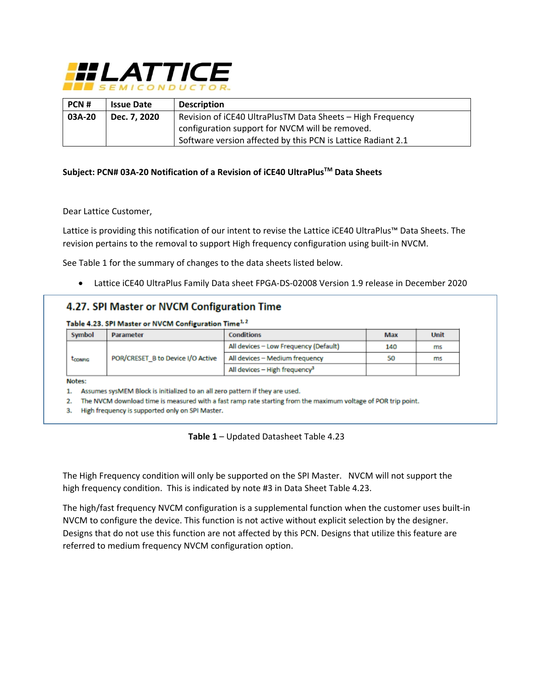

| PCN#                   | <b>Issue Date</b> | <b>Description</b>                                           |  |
|------------------------|-------------------|--------------------------------------------------------------|--|
| 03A-20<br>Dec. 7, 2020 |                   | Revision of iCE40 UltraPlusTM Data Sheets - High Frequency   |  |
|                        |                   | configuration support for NVCM will be removed.              |  |
|                        |                   | Software version affected by this PCN is Lattice Radiant 2.1 |  |

### **Subject: PCN# 03A-20 Notification of a Revision of iCE40 UltraPlusTM Data Sheets**

#### Dear Lattice Customer,

Lattice is providing this notification of our intent to revise the Lattice iCE40 UltraPlus™ Data Sheets. The revision pertains to the removal to support High frequency configuration using built-in NVCM.

See Table 1 for the summary of changes to the data sheets listed below.

Lattice iCE40 UltraPlus Family Data sheet FPGA-DS-02008 Version 1.9 release in December 2020

# 4.27. SPI Master or NVCM Configuration Time

Table 4.23. SPI Master or NVCM Configuration Time<sup>1,2</sup>

|  | Symbol         | Parameter                         | <b>Conditions</b>                         | Max | Unit |
|--|----------------|-----------------------------------|-------------------------------------------|-----|------|
|  |                |                                   | All devices – Low Frequency (Default)     | 140 | ms   |
|  | <b>LCONFIG</b> | POR/CRESET B to Device I/O Active | All devices - Medium frequency            | 50  | ms   |
|  |                |                                   | All devices - High frequency <sup>3</sup> |     |      |

Notes:

1. Assumes sysMEM Block is initialized to an all zero pattern if they are used.

2. The NVCM download time is measured with a fast ramp rate starting from the maximum voltage of POR trip point.

3. High frequency is supported only on SPI Master.

**Table 1** – Updated Datasheet Table 4.23

The High Frequency condition will only be supported on the SPI Master. NVCM will not support the high frequency condition. This is indicated by note #3 in Data Sheet Table 4.23.

The high/fast frequency NVCM configuration is a supplemental function when the customer uses built-in NVCM to configure the device. This function is not active without explicit selection by the designer. Designs that do not use this function are not affected by this PCN. Designs that utilize this feature are referred to medium frequency NVCM configuration option.